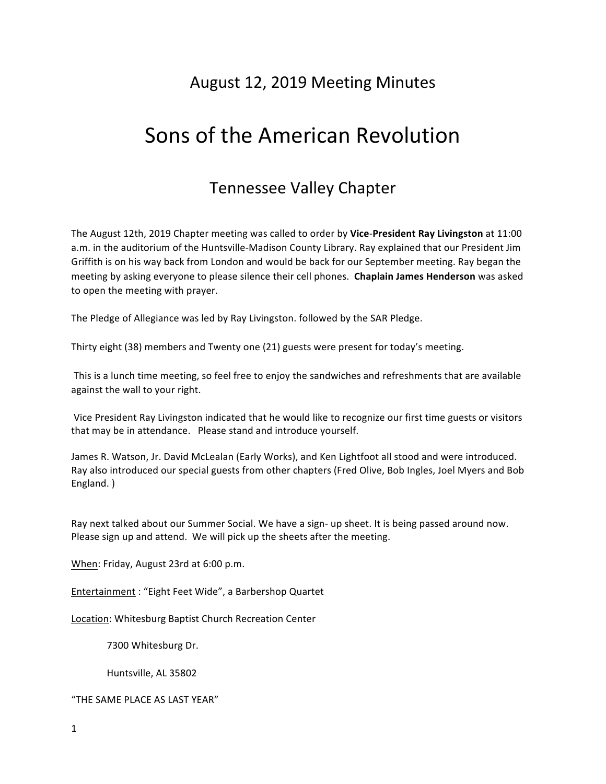# August 12, 2019 Meeting Minutes

# Sons of the American Revolution

# Tennessee Valley Chapter

The August 12th, 2019 Chapter meeting was called to order by Vice-President Ray Livingston at 11:00 a.m. in the auditorium of the Huntsville-Madison County Library. Ray explained that our President Jim Griffith is on his way back from London and would be back for our September meeting. Ray began the meeting by asking everyone to please silence their cell phones. **Chaplain James Henderson** was asked to open the meeting with prayer.

The Pledge of Allegiance was led by Ray Livingston. followed by the SAR Pledge.

Thirty eight (38) members and Twenty one (21) guests were present for today's meeting.

This is a lunch time meeting, so feel free to enjoy the sandwiches and refreshments that are available against the wall to your right.

Vice President Ray Livingston indicated that he would like to recognize our first time guests or visitors that may be in attendance. Please stand and introduce yourself.

James R. Watson, Jr. David McLealan (Early Works), and Ken Lightfoot all stood and were introduced. Ray also introduced our special guests from other chapters (Fred Olive, Bob Ingles, Joel Myers and Bob England. )

Ray next talked about our Summer Social. We have a sign- up sheet. It is being passed around now. Please sign up and attend. We will pick up the sheets after the meeting.

When: Friday, August 23rd at 6:00 p.m.

Entertainment : "Eight Feet Wide", a Barbershop Quartet

Location: Whitesburg Baptist Church Recreation Center

7300 Whitesburg Dr.

Huntsville, AL 35802

"THE SAME PLACE AS LAST YEAR"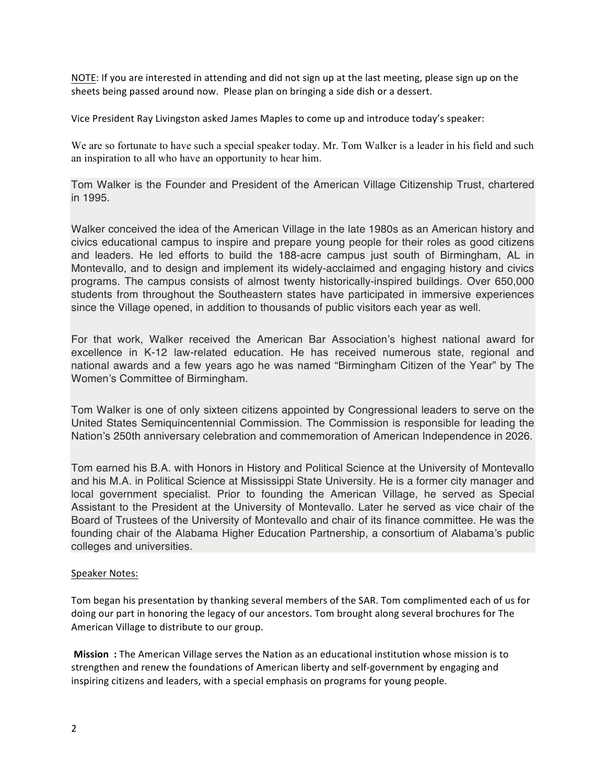NOTE: If you are interested in attending and did not sign up at the last meeting, please sign up on the sheets being passed around now. Please plan on bringing a side dish or a dessert.

Vice President Ray Livingston asked James Maples to come up and introduce today's speaker:

We are so fortunate to have such a special speaker today. Mr. Tom Walker is a leader in his field and such an inspiration to all who have an opportunity to hear him.

Tom Walker is the Founder and President of the American Village Citizenship Trust, chartered in 1995.

Walker conceived the idea of the American Village in the late 1980s as an American history and civics educational campus to inspire and prepare young people for their roles as good citizens and leaders. He led efforts to build the 188-acre campus just south of Birmingham, AL in Montevallo, and to design and implement its widely-acclaimed and engaging history and civics programs. The campus consists of almost twenty historically-inspired buildings. Over 650,000 students from throughout the Southeastern states have participated in immersive experiences since the Village opened, in addition to thousands of public visitors each year as well.

For that work, Walker received the American Bar Association's highest national award for excellence in K-12 law-related education. He has received numerous state, regional and national awards and a few years ago he was named "Birmingham Citizen of the Year" by The Women's Committee of Birmingham.

Tom Walker is one of only sixteen citizens appointed by Congressional leaders to serve on the United States Semiquincentennial Commission. The Commission is responsible for leading the Nation's 250th anniversary celebration and commemoration of American Independence in 2026.

Tom earned his B.A. with Honors in History and Political Science at the University of Montevallo and his M.A. in Political Science at Mississippi State University. He is a former city manager and local government specialist. Prior to founding the American Village, he served as Special Assistant to the President at the University of Montevallo. Later he served as vice chair of the Board of Trustees of the University of Montevallo and chair of its finance committee. He was the founding chair of the Alabama Higher Education Partnership, a consortium of Alabama's public colleges and universities.

#### Speaker Notes:

Tom began his presentation by thanking several members of the SAR. Tom complimented each of us for doing our part in honoring the legacy of our ancestors. Tom brought along several brochures for The American Village to distribute to our group.

**Mission** : The American Village serves the Nation as an educational institution whose mission is to strengthen and renew the foundations of American liberty and self-government by engaging and inspiring citizens and leaders, with a special emphasis on programs for young people.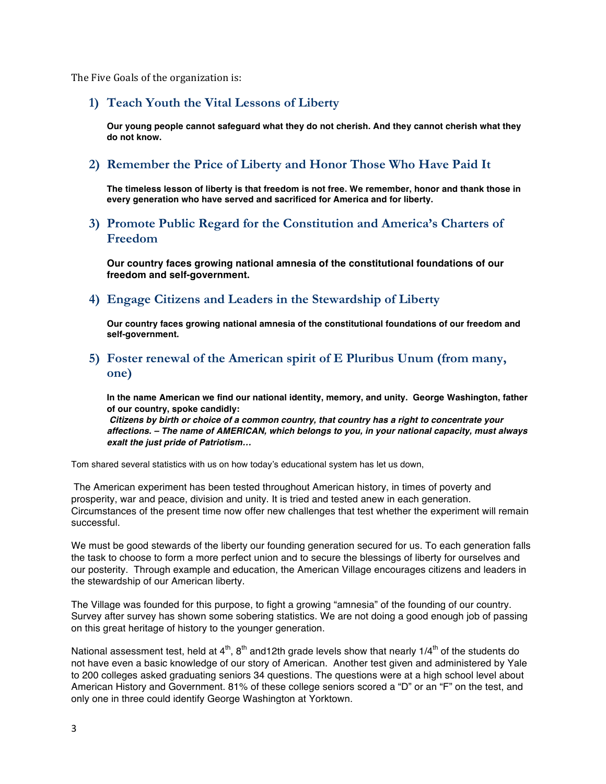The Five Goals of the organization is:

#### **1) Teach Youth the Vital Lessons of Liberty**

**Our young people cannot safeguard what they do not cherish. And they cannot cherish what they do not know.**

#### **2) Remember the Price of Liberty and Honor Those Who Have Paid It**

**The timeless lesson of liberty is that freedom is not free. We remember, honor and thank those in every generation who have served and sacrificed for America and for liberty.**

#### **3) Promote Public Regard for the Constitution and America's Charters of Freedom**

**Our country faces growing national amnesia of the constitutional foundations of our freedom and self-government.**

#### **4) Engage Citizens and Leaders in the Stewardship of Liberty**

**Our country faces growing national amnesia of the constitutional foundations of our freedom and self-government.** 

#### **5) Foster renewal of the American spirit of E Pluribus Unum (from many, one)**

**In the name American we find our national identity, memory, and unity. George Washington, father of our country, spoke candidly:**

*Citizens by birth or choice of a common country, that country has a right to concentrate your affections. – The name of AMERICAN, which belongs to you, in your national capacity, must always exalt the just pride of Patriotism…*

Tom shared several statistics with us on how today's educational system has let us down,

The American experiment has been tested throughout American history, in times of poverty and prosperity, war and peace, division and unity. It is tried and tested anew in each generation. Circumstances of the present time now offer new challenges that test whether the experiment will remain successful.

We must be good stewards of the liberty our founding generation secured for us. To each generation falls the task to choose to form a more perfect union and to secure the blessings of liberty for ourselves and our posterity. Through example and education, the American Village encourages citizens and leaders in the stewardship of our American liberty.

The Village was founded for this purpose, to fight a growing "amnesia" of the founding of our country. Survey after survey has shown some sobering statistics. We are not doing a good enough job of passing on this great heritage of history to the younger generation.

National assessment test, held at  $4^{\text{th}}$ ,  $8^{\text{th}}$  and12th grade levels show that nearly 1/4<sup>th</sup> of the students do not have even a basic knowledge of our story of American. Another test given and administered by Yale to 200 colleges asked graduating seniors 34 questions. The questions were at a high school level about American History and Government. 81% of these college seniors scored a "D" or an "F" on the test, and only one in three could identify George Washington at Yorktown.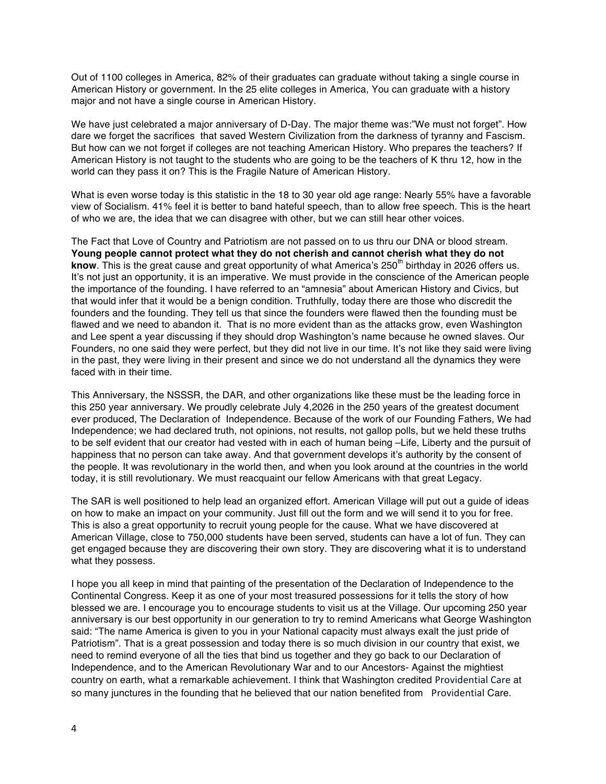Out of 1100 colleges in America, 82% of their graduates can graduate without taking a single course in American History or government. In the 25 elite colleges in America, You can graduate with a history major and not have a single course in American History.

We have just celebrated a major anniversary of D-Day. The major theme was:"We must not forget". How dare we forget the sacrifices that saved Western Civilization from the darkness of tyranny and Fascism. But how can we not forget if colleges are not teaching American History. Who prepares the teachers? If American History is not taught to the students who are going to be the teachers of K thru 12, how in the world can they pass it on? This is the Fragile Nature of American History.

What is even worse today is this statistic in the 18 to 30 year old age range: Nearly 55% have a favorable view of Socialism. 41% feel it is better to band hateful speech, than to allow free speech. This is the heart of who we are, the idea that we can disagree with other, but we can still hear other voices.

The Fact that Love of Country and Patriotism are not passed on to us thru our DNA or blood stream. **Young people cannot protect what they do not cherish and cannot cherish what they do not know**. This is the great cause and great opportunity of what America's 250<sup>th</sup> birthday in 2026 offers us. It's not just an opportunity, it is an imperative. We must provide in the conscience of the American people the importance of the founding. I have referred to an "amnesia" about American History and Civics, but that would infer that it would be a benign condition. Truthfully, today there are those who discredit the founders and the founding. They tell us that since the founders were flawed then the founding must be flawed and we need to abandon it. That is no more evident than as the attacks grow, even Washington and Lee spent a year discussing if they should drop Washington's name because he owned slaves. Our Founders, no one said they were perfect, but they did not live in our time. It's not like they said were living in the past, they were living in their present and since we do not understand all the dynamics they were faced with in their time.

This Anniversary, the NSSSR, the DAR, and other organizations like these must be the leading force in this 250 year anniversary. We proudly celebrate July 4,2026 in the 250 years of the greatest document ever produced, The Declaration of Independence. Because of the work of our Founding Fathers, We had Independence; we had declared truth, not opinions, not results, not gallop polls, but we held these truths to be self evident that our creator had vested with in each of human being –Life, Liberty and the pursuit of happiness that no person can take away. And that government develops it's authority by the consent of the people. It was revolutionary in the world then, and when you look around at the countries in the world today, it is still revolutionary. We must reacquaint our fellow Americans with that great Legacy.

The SAR is well positioned to help lead an organized effort. American Village will put out a guide of ideas on how to make an impact on your community. Just fill out the form and we will send it to you for free. This is also a great opportunity to recruit young people for the cause. What we have discovered at American Village, close to 750,000 students have been served, students can have a lot of fun. They can get engaged because they are discovering their own story. They are discovering what it is to understand what they possess.

I hope you all keep in mind that painting of the presentation of the Declaration of Independence to the Continental Congress. Keep it as one of your most treasured possessions for it tells the story of how blessed we are. I encourage you to encourage students to visit us at the Village. Our upcoming 250 year anniversary is our best opportunity in our generation to try to remind Americans what George Washington said: "The name America is given to you in your National capacity must always exalt the just pride of Patriotism". That is a great possession and today there is so much division in our country that exist, we need to remind everyone of all the ties that bind us together and they go back to our Declaration of Independence, and to the American Revolutionary War and to our Ancestors- Against the mightiest country on earth, what a remarkable achievement. I think that Washington credited Providential Care at so many junctures in the founding that he believed that our nation benefited from Providential Care.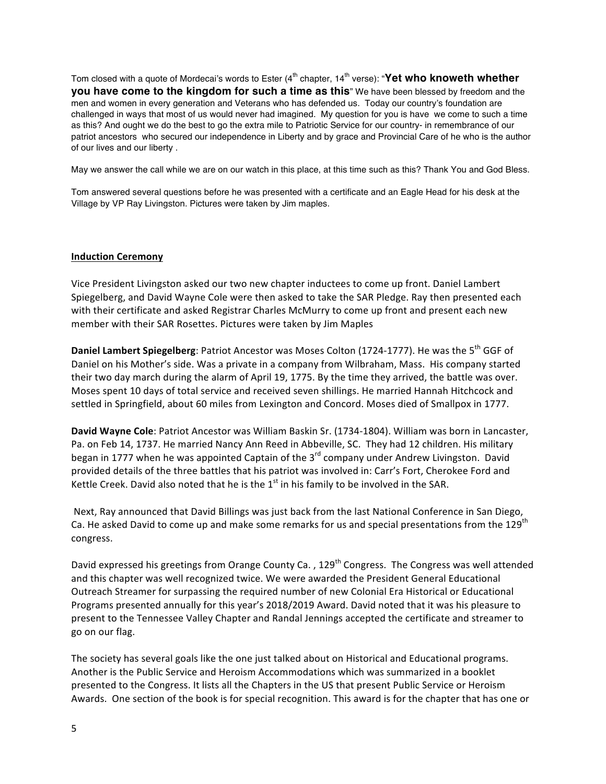Tom closed with a quote of Mordecai's words to Ester (4<sup>th</sup> chapter, 14<sup>th</sup> verse): "Yet who knoweth whether **you have come to the kingdom for such a time as this**" We have been blessed by freedom and the men and women in every generation and Veterans who has defended us. Today our country's foundation are challenged in ways that most of us would never had imagined. My question for you is have we come to such a time as this? And ought we do the best to go the extra mile to Patriotic Service for our country- in remembrance of our patriot ancestors who secured our independence in Liberty and by grace and Provincial Care of he who is the author of our lives and our liberty .

May we answer the call while we are on our watch in this place, at this time such as this? Thank You and God Bless.

Tom answered several questions before he was presented with a certificate and an Eagle Head for his desk at the Village by VP Ray Livingston. Pictures were taken by Jim maples.

#### **Induction Ceremony**

Vice President Livingston asked our two new chapter inductees to come up front. Daniel Lambert Spiegelberg, and David Wayne Cole were then asked to take the SAR Pledge. Ray then presented each with their certificate and asked Registrar Charles McMurry to come up front and present each new member with their SAR Rosettes. Pictures were taken by Jim Maples

**Daniel Lambert Spiegelberg**: Patriot Ancestor was Moses Colton (1724-1777). He was the 5<sup>th</sup> GGF of Daniel on his Mother's side. Was a private in a company from Wilbraham, Mass. His company started their two day march during the alarm of April 19, 1775. By the time they arrived, the battle was over. Moses spent 10 days of total service and received seven shillings. He married Hannah Hitchcock and settled in Springfield, about 60 miles from Lexington and Concord. Moses died of Smallpox in 1777.

David Wayne Cole: Patriot Ancestor was William Baskin Sr. (1734-1804). William was born in Lancaster, Pa. on Feb 14, 1737. He married Nancy Ann Reed in Abbeville, SC. They had 12 children. His military began in 1777 when he was appointed Captain of the 3<sup>rd</sup> company under Andrew Livingston. David provided details of the three battles that his patriot was involved in: Carr's Fort, Cherokee Ford and Kettle Creek. David also noted that he is the  $1<sup>st</sup>$  in his family to be involved in the SAR.

Next, Ray announced that David Billings was just back from the last National Conference in San Diego, Ca. He asked David to come up and make some remarks for us and special presentations from the 129<sup>th</sup> congress. 

David expressed his greetings from Orange County Ca., 129<sup>th</sup> Congress. The Congress was well attended and this chapter was well recognized twice. We were awarded the President General Educational Outreach Streamer for surpassing the required number of new Colonial Era Historical or Educational Programs presented annually for this year's 2018/2019 Award. David noted that it was his pleasure to present to the Tennessee Valley Chapter and Randal Jennings accepted the certificate and streamer to go on our flag.

The society has several goals like the one just talked about on Historical and Educational programs. Another is the Public Service and Heroism Accommodations which was summarized in a booklet presented to the Congress. It lists all the Chapters in the US that present Public Service or Heroism Awards. One section of the book is for special recognition. This award is for the chapter that has one or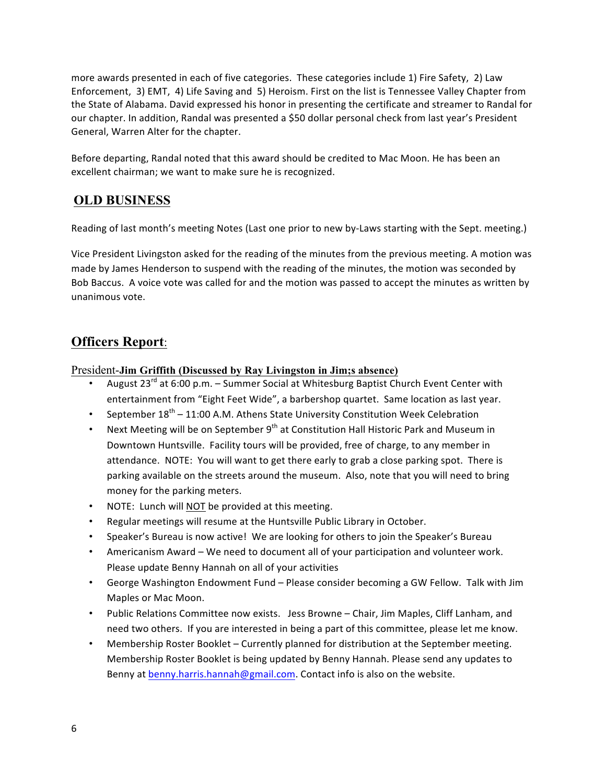more awards presented in each of five categories. These categories include 1) Fire Safety, 2) Law Enforcement, 3) EMT, 4) Life Saving and 5) Heroism. First on the list is Tennessee Valley Chapter from the State of Alabama. David expressed his honor in presenting the certificate and streamer to Randal for our chapter. In addition, Randal was presented a \$50 dollar personal check from last year's President General, Warren Alter for the chapter.

Before departing, Randal noted that this award should be credited to Mac Moon. He has been an excellent chairman; we want to make sure he is recognized.

### **OLD BUSINESS**

Reading of last month's meeting Notes (Last one prior to new by-Laws starting with the Sept. meeting.)

Vice President Livingston asked for the reading of the minutes from the previous meeting. A motion was made by James Henderson to suspend with the reading of the minutes, the motion was seconded by Bob Baccus. A voice vote was called for and the motion was passed to accept the minutes as written by unanimous vote.

## **Officers Report**:

#### President-**Jim Griffith (Discussed by Ray Livingston in Jim;s absence)**

- August  $23^{rd}$  at 6:00 p.m. Summer Social at Whitesburg Baptist Church Event Center with entertainment from "Eight Feet Wide", a barbershop quartet. Same location as last year.
- September  $18^{th}$  11:00 A.M. Athens State University Constitution Week Celebration
- Next Meeting will be on September  $9<sup>th</sup>$  at Constitution Hall Historic Park and Museum in Downtown Huntsville. Facility tours will be provided, free of charge, to any member in attendance. NOTE: You will want to get there early to grab a close parking spot. There is parking available on the streets around the museum. Also, note that you will need to bring money for the parking meters.
- NOTE: Lunch will NOT be provided at this meeting.
- Regular meetings will resume at the Huntsville Public Library in October.
- Speaker's Bureau is now active! We are looking for others to join the Speaker's Bureau
- Americanism Award We need to document all of your participation and volunteer work. Please update Benny Hannah on all of your activities
- George Washington Endowment Fund Please consider becoming a GW Fellow. Talk with Jim Maples or Mac Moon.
- Public Relations Committee now exists. Jess Browne Chair, Jim Maples, Cliff Lanham, and need two others. If you are interested in being a part of this committee, please let me know.
- Membership Roster Booklet Currently planned for distribution at the September meeting. Membership Roster Booklet is being updated by Benny Hannah. Please send any updates to Benny at benny.harris.hannah@gmail.com. Contact info is also on the website.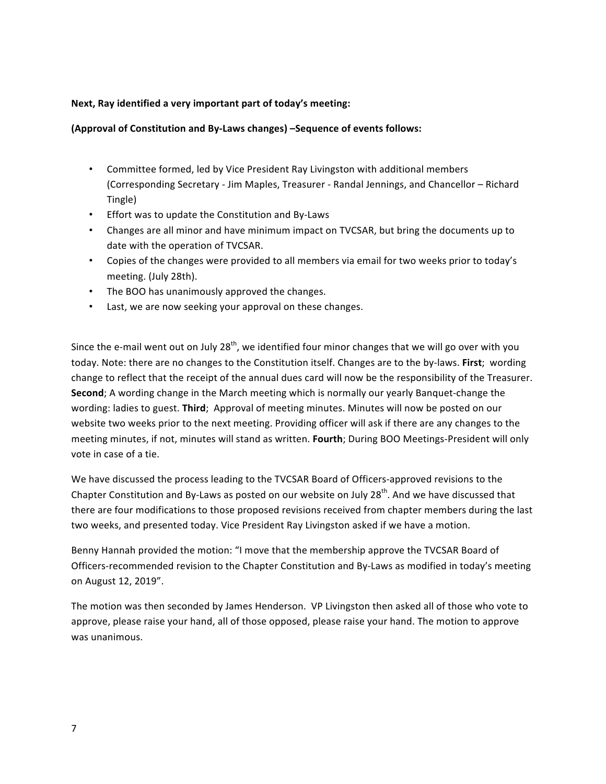#### Next, Ray identified a very important part of today's meeting:

#### **(Approval of Constitution and By-Laws changes) –Sequence of events follows:**

- Committee formed, led by Vice President Ray Livingston with additional members (Corresponding Secretary - Jim Maples, Treasurer - Randal Jennings, and Chancellor - Richard Tingle)
- Effort was to update the Constitution and By-Laws
- Changes are all minor and have minimum impact on TVCSAR, but bring the documents up to date with the operation of TVCSAR.
- Copies of the changes were provided to all members via email for two weeks prior to today's meeting. (July 28th).
- The BOO has unanimously approved the changes.
- Last, we are now seeking your approval on these changes.

Since the e-mail went out on July 28<sup>th</sup>, we identified four minor changes that we will go over with you today. Note: there are no changes to the Constitution itself. Changes are to the by-laws. First; wording change to reflect that the receipt of the annual dues card will now be the responsibility of the Treasurer. **Second**; A wording change in the March meeting which is normally our yearly Banquet-change the wording: ladies to guest. Third; Approval of meeting minutes. Minutes will now be posted on our website two weeks prior to the next meeting. Providing officer will ask if there are any changes to the meeting minutes, if not, minutes will stand as written. **Fourth**; During BOO Meetings-President will only vote in case of a tie.

We have discussed the process leading to the TVCSAR Board of Officers-approved revisions to the Chapter Constitution and By-Laws as posted on our website on July 28<sup>th</sup>. And we have discussed that there are four modifications to those proposed revisions received from chapter members during the last two weeks, and presented today. Vice President Ray Livingston asked if we have a motion.

Benny Hannah provided the motion: "I move that the membership approve the TVCSAR Board of Officers-recommended revision to the Chapter Constitution and By-Laws as modified in today's meeting on August 12, 2019".

The motion was then seconded by James Henderson. VP Livingston then asked all of those who vote to approve, please raise your hand, all of those opposed, please raise your hand. The motion to approve was unanimous.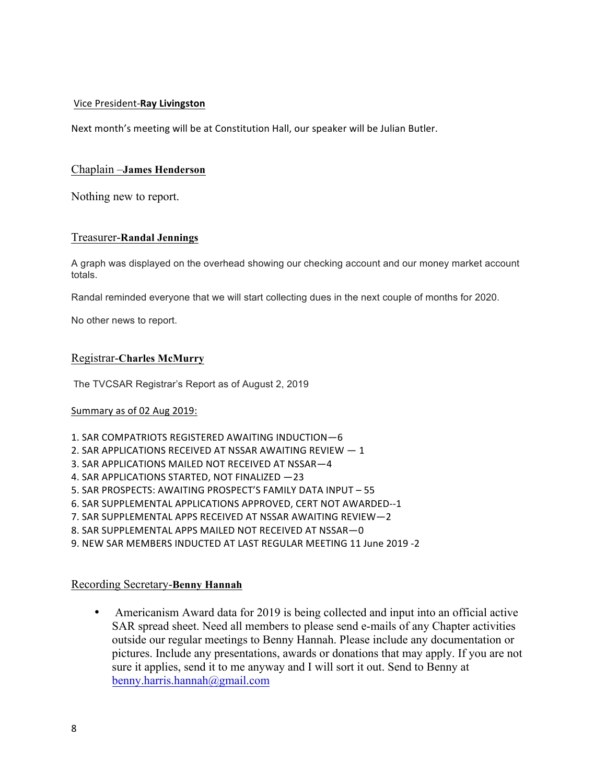#### Vice President-**Ray Livingston**

Next month's meeting will be at Constitution Hall, our speaker will be Julian Butler.

#### Chaplain –**James Henderson**

Nothing new to report.

#### Treasurer-**Randal Jennings**

A graph was displayed on the overhead showing our checking account and our money market account totals.

Randal reminded everyone that we will start collecting dues in the next couple of months for 2020.

No other news to report.

#### Registrar-**Charles McMurry**

The TVCSAR Registrar's Report as of August 2, 2019

#### Summary as of 02 Aug 2019:

- 1. SAR COMPATRIOTS REGISTERED AWAITING INDUCTION-6
- 2. SAR APPLICATIONS RECEIVED AT NSSAR AWAITING REVIEW  $-1$
- 3. SAR APPLICATIONS MAILED NOT RECEIVED AT NSSAR-4
- 4. SAR APPLICATIONS STARTED, NOT FINALIZED -23
- 5. SAR PROSPECTS: AWAITING PROSPECT'S FAMILY DATA INPUT 55
- 6. SAR SUPPLEMENTAL APPLICATIONS APPROVED, CERT NOT AWARDED--1
- 7. SAR SUPPLEMENTAL APPS RECEIVED AT NSSAR AWAITING REVIEW-2
- 8. SAR SUPPLEMENTAL APPS MAILED NOT RECEIVED AT NSSAR-0
- 9. NEW SAR MEMBERS INDUCTED AT LAST REGULAR MEETING 11 June 2019 -2

#### Recording Secretary-**Benny Hannah**

• Americanism Award data for 2019 is being collected and input into an official active SAR spread sheet. Need all members to please send e-mails of any Chapter activities outside our regular meetings to Benny Hannah. Please include any documentation or pictures. Include any presentations, awards or donations that may apply. If you are not sure it applies, send it to me anyway and I will sort it out. Send to Benny at benny.harris.hannah@gmail.com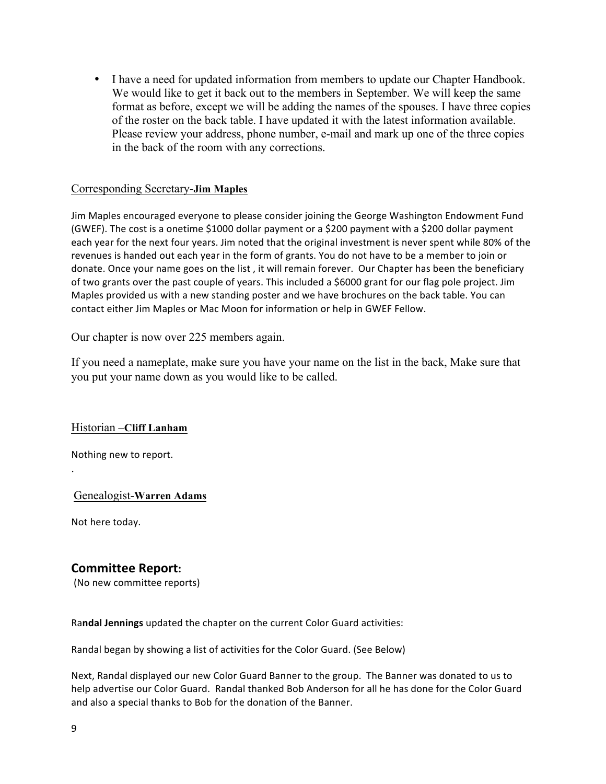• I have a need for updated information from members to update our Chapter Handbook. We would like to get it back out to the members in September. We will keep the same format as before, except we will be adding the names of the spouses. I have three copies of the roster on the back table. I have updated it with the latest information available. Please review your address, phone number, e-mail and mark up one of the three copies in the back of the room with any corrections.

#### Corresponding Secretary-**Jim Maples**

Jim Maples encouraged everyone to please consider joining the George Washington Endowment Fund (GWEF). The cost is a onetime \$1000 dollar payment or a \$200 payment with a \$200 dollar payment each year for the next four years. Jim noted that the original investment is never spent while 80% of the revenues is handed out each year in the form of grants. You do not have to be a member to join or donate. Once your name goes on the list, it will remain forever. Our Chapter has been the beneficiary of two grants over the past couple of years. This included a \$6000 grant for our flag pole project. Jim Maples provided us with a new standing poster and we have brochures on the back table. You can contact either Jim Maples or Mac Moon for information or help in GWEF Fellow.

Our chapter is now over 225 members again.

If you need a nameplate, make sure you have your name on the list in the back, Make sure that you put your name down as you would like to be called.

#### Historian –**Cliff Lanham**

Nothing new to report.

Genealogist-**Warren Adams**

Not here today.

.

### **Committee Report:**

(No new committee reports)

Randal Jennings updated the chapter on the current Color Guard activities:

Randal began by showing a list of activities for the Color Guard. (See Below)

Next, Randal displayed our new Color Guard Banner to the group. The Banner was donated to us to help advertise our Color Guard. Randal thanked Bob Anderson for all he has done for the Color Guard and also a special thanks to Bob for the donation of the Banner.